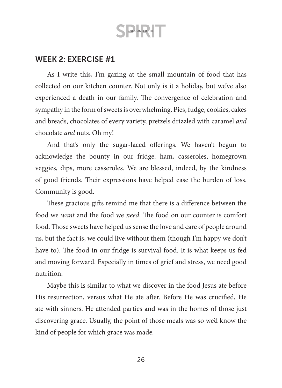### WEEK 2: EXERCISE #1

As I write this, I'm gazing at the small mountain of food that has collected on our kitchen counter. Not only is it a holiday, but we've also experienced a death in our family. The convergence of celebration and sympathy in the form of sweets is overwhelming. Pies, fudge, cookies, cakes and breads, chocolates of every variety, pretzels drizzled with caramel *and* chocolate *and* nuts. Oh my!

And that's only the sugar-laced offerings. We haven't begun to acknowledge the bounty in our fridge: ham, casseroles, homegrown veggies, dips, more casseroles. We are blessed, indeed, by the kindness of good friends. Their expressions have helped ease the burden of loss. Community is good.

These gracious gifts remind me that there is a difference between the food we *want* and the food we *need*. The food on our counter is comfort food. Those sweets have helped us sense the love and care of people around us, but the fact is, we could live without them (though I'm happy we don't have to). The food in our fridge is survival food. It is what keeps us fed and moving forward. Especially in times of grief and stress, we need good nutrition.

Maybe this is similar to what we discover in the food Jesus ate before His resurrection, versus what He ate after. Before He was crucified, He ate with sinners. He attended parties and was in the homes of those just discovering grace. Usually, the point of those meals was so we'd know the kind of people for which grace was made.

26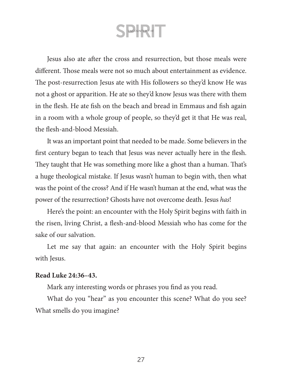Jesus also ate after the cross and resurrection, but those meals were different. Those meals were not so much about entertainment as evidence. The post-resurrection Jesus ate with His followers so they'd know He was not a ghost or apparition. He ate so they'd know Jesus was there with them in the flesh. He ate fish on the beach and bread in Emmaus and fish again in a room with a whole group of people, so they'd get it that He was real, the flesh-and-blood Messiah.

It was an important point that needed to be made. Some believers in the first century began to teach that Jesus was never actually here in the flesh. They taught that He was something more like a ghost than a human. That's a huge theological mistake. If Jesus wasn't human to begin with, then what was the point of the cross? And if He wasn't human at the end, what was the power of the resurrection? Ghosts have not overcome death. Jesus *has*!

Here's the point: an encounter with the Holy Spirit begins with faith in the risen, living Christ, a flesh-and-blood Messiah who has come for the sake of our salvation.

Let me say that again: an encounter with the Holy Spirit begins with Jesus.

#### **Read Luke 24:36–43.**

Mark any interesting words or phrases you find as you read.

What do you "hear" as you encounter this scene? What do you see? What smells do you imagine?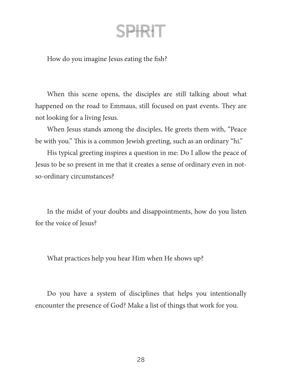How do you imagine Jesus eating the fish?

When this scene opens, the disciples are still talking about what happened on the road to Emmaus, still focused on past events. They are not looking for a living Jesus.

When Jesus stands among the disciples, He greets them with, "Peace be with you." This is a common Jewish greeting, such as an ordinary "hi."

His typical greeting inspires a question in me: Do I allow the peace of Jesus to be so present in me that it creates a sense of ordinary even in notso-ordinary circumstances?

In the midst of your doubts and disappointments, how do you listen for the voice of Jesus?

What practices help you hear Him when He shows up?

Do you have a system of disciplines that helps you intentionally encounter the presence of God? Make a list of things that work for you.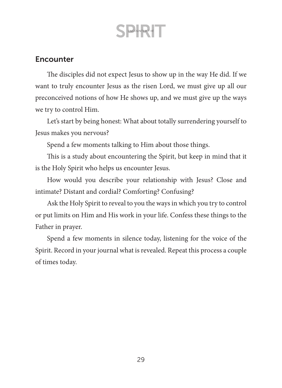### **Encounter**

The disciples did not expect Jesus to show up in the way He did. If we want to truly encounter Jesus as the risen Lord, we must give up all our preconceived notions of how He shows up, and we must give up the ways we try to control Him.

Let's start by being honest: What about totally surrendering yourself to Jesus makes you nervous?

Spend a few moments talking to Him about those things.

This is a study about encountering the Spirit, but keep in mind that it is the Holy Spirit who helps us encounter Jesus.

How would you describe your relationship with Jesus? Close and intimate? Distant and cordial? Comforting? Confusing?

Ask the Holy Spirit to reveal to you the ways in which you try to control or put limits on Him and His work in your life. Confess these things to the Father in prayer.

Spend a few moments in silence today, listening for the voice of the Spirit. Record in your journal what is revealed. Repeat this process a couple of times today.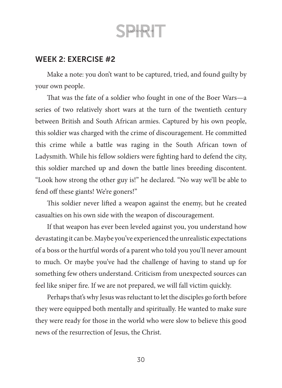### WEEK 2: EXERCISE #2

Make a note: you don't want to be captured, tried, and found guilty by your own people.

That was the fate of a soldier who fought in one of the Boer Wars—a series of two relatively short wars at the turn of the twentieth century between British and South African armies. Captured by his own people, this soldier was charged with the crime of discouragement. He committed this crime while a battle was raging in the South African town of Ladysmith. While his fellow soldiers were fighting hard to defend the city, this soldier marched up and down the battle lines breeding discontent. "Look how strong the other guy is!" he declared. "No way we'll be able to fend off these giants! We're goners!"

This soldier never lifted a weapon against the enemy, but he created casualties on his own side with the weapon of discouragement.

If that weapon has ever been leveled against you, you understand how devastating it can be. Maybe you've experienced the unrealistic expectations of a boss or the hurtful words of a parent who told you you'll never amount to much. Or maybe you've had the challenge of having to stand up for something few others understand. Criticism from unexpected sources can feel like sniper fire. If we are not prepared, we will fall victim quickly.

Perhaps that's why Jesus was reluctant to let the disciples go forth before they were equipped both mentally and spiritually. He wanted to make sure they were ready for those in the world who were slow to believe this good news of the resurrection of Jesus, the Christ.

30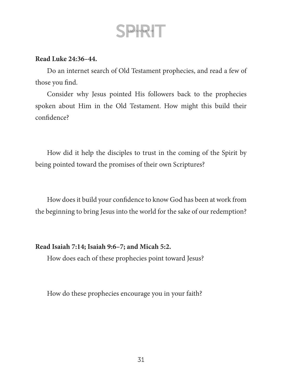#### **Read Luke 24:36–44.**

Do an internet search of Old Testament prophecies, and read a few of those you find.

Consider why Jesus pointed His followers back to the prophecies spoken about Him in the Old Testament. How might this build their confidence?

How did it help the disciples to trust in the coming of the Spirit by being pointed toward the promises of their own Scriptures?

How does it build your confidence to know God has been at work from the beginning to bring Jesus into the world for the sake of our redemption?

### **Read Isaiah 7:14; Isaiah 9:6–7; and Micah 5:2.**

How does each of these prophecies point toward Jesus?

How do these prophecies encourage you in your faith?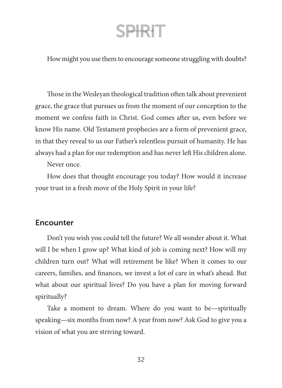How might you use them to encourage someone struggling with doubts?

Those in the Wesleyan theological tradition often talk about prevenient grace, the grace that pursues us from the moment of our conception to the moment we confess faith in Christ. God comes after us, even before we know His name. Old Testament prophecies are a form of prevenient grace, in that they reveal to us our Father's relentless pursuit of humanity. He has always had a plan for our redemption and has never left His children alone.

Never once.

How does that thought encourage you today? How would it increase your trust in a fresh move of the Holy Spirit in your life?

### **Encounter**

Don't you wish you could tell the future? We all wonder about it. What will I be when I grow up? What kind of job is coming next? How will my children turn out? What will retirement be like? When it comes to our careers, families, and finances, we invest a lot of care in what's ahead. But what about our spiritual lives? Do you have a plan for moving forward spiritually?

Take a moment to dream. Where do you want to be—spiritually speaking—six months from now? A year from now? Ask God to give you a vision of what you are striving toward.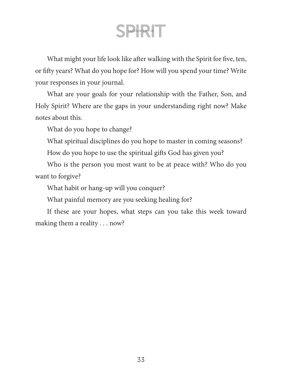What might your life look like after walking with the Spirit for five, ten, or fifty years? What do you hope for? How will you spend your time? Write your responses in your journal.

What are your goals for your relationship with the Father, Son, and Holy Spirit? Where are the gaps in your understanding right now? Make notes about this.

What do you hope to change?

What spiritual disciplines do you hope to master in coming seasons?

How do you hope to use the spiritual gifts God has given you?

Who is the person you most want to be at peace with? Who do you want to forgive?

What habit or hang-up will you conquer?

What painful memory are you seeking healing for?

If these are your hopes, what steps can you take this week toward making them a reality . . . now?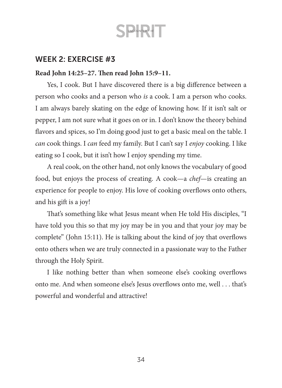### WEEK 2: EXERCISE #3

### **Read John 14:25–27. Then read John 15:9–11.**

Yes, I cook. But I have discovered there is a big difference between a person who cooks and a person who *is* a cook. I am a person who cooks. I am always barely skating on the edge of knowing how. If it isn't salt or pepper, I am not sure what it goes on or in. I don't know the theory behind flavors and spices, so I'm doing good just to get a basic meal on the table. I *can* cook things. I *can* feed my family. But I can't say I *enjoy* cooking. I like eating so I cook, but it isn't how I enjoy spending my time.

A real cook, on the other hand, not only knows the vocabulary of good food, but enjoys the process of creating. A cook—a *chef*—is creating an experience for people to enjoy. His love of cooking overflows onto others, and his gift is a joy!

That's something like what Jesus meant when He told His disciples, "I have told you this so that my joy may be in you and that your joy may be complete" (John 15:11). He is talking about the kind of joy that overflows onto others when we are truly connected in a passionate way to the Father through the Holy Spirit.

I like nothing better than when someone else's cooking overflows onto me. And when someone else's Jesus overflows onto me, well . . . that's powerful and wonderful and attractive!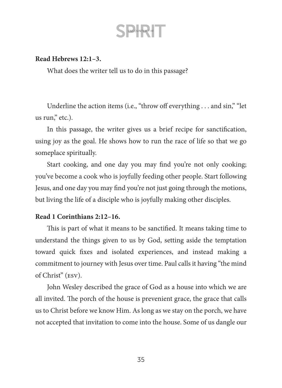#### **Read Hebrews 12:1–3.**

What does the writer tell us to do in this passage?

Underline the action items (i.e., "throw off everything . . . and sin," "let us run," etc.).

In this passage, the writer gives us a brief recipe for sanctification, using joy as the goal. He shows how to run the race of life so that we go someplace spiritually.

Start cooking, and one day you may find you're not only cooking; you've become a cook who is joyfully feeding other people. Start following Jesus, and one day you may find you're not just going through the motions, but living the life of a disciple who is joyfully making other disciples.

#### **Read 1 Corinthians 2:12–16.**

This is part of what it means to be sanctified. It means taking time to understand the things given to us by God, setting aside the temptation toward quick fixes and isolated experiences, and instead making a commitment to journey with Jesus over time. Paul calls it having "the mind of Christ" (esv).

John Wesley described the grace of God as a house into which we are all invited. The porch of the house is prevenient grace, the grace that calls us to Christ before we know Him. As long as we stay on the porch, we have not accepted that invitation to come into the house. Some of us dangle our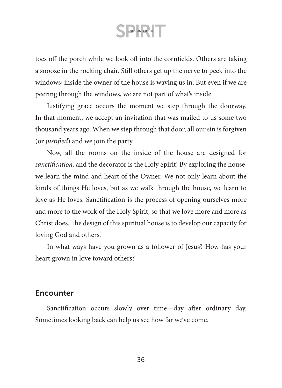toes off the porch while we look off into the cornfields. Others are taking a snooze in the rocking chair. Still others get up the nerve to peek into the windows; inside the owner of the house is waving us in. But even if we are peering through the windows, we are not part of what's inside.

Justifying grace occurs the moment we step through the doorway. In that moment, we accept an invitation that was mailed to us some two thousand years ago. When we step through that door, all our sin is forgiven (or *justified*) and we join the party.

Now, all the rooms on the inside of the house are designed for *sanctification,* and the decorator is the Holy Spirit! By exploring the house, we learn the mind and heart of the Owner. We not only learn about the kinds of things He loves, but as we walk through the house, we learn to love as He loves. Sanctification is the process of opening ourselves more and more to the work of the Holy Spirit, so that we love more and more as Christ does. The design of this spiritual house is to develop our capacity for loving God and others.

In what ways have you grown as a follower of Jesus? How has your heart grown in love toward others?

### **Encounter**

Sanctification occurs slowly over time—day after ordinary day. Sometimes looking back can help us see how far we've come.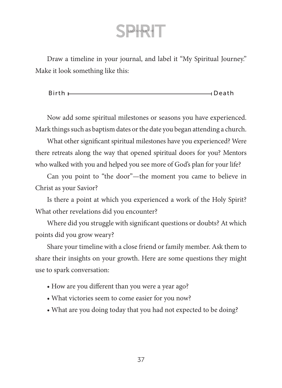Draw a timeline in your journal, and label it "My Spiritual Journey." Make it look something like this:

**Birth** Death

Now add some spiritual milestones or seasons you have experienced. Mark things such as baptism dates or the date you began attending a church.

What other significant spiritual milestones have you experienced? Were there retreats along the way that opened spiritual doors for you? Mentors who walked with you and helped you see more of God's plan for your life?

Can you point to "the door"—the moment you came to believe in Christ as your Savior?

Is there a point at which you experienced a work of the Holy Spirit? What other revelations did you encounter?

Where did you struggle with significant questions or doubts? At which points did you grow weary?

Share your timeline with a close friend or family member. Ask them to share their insights on your growth. Here are some questions they might use to spark conversation:

- How are you different than you were a year ago?
- What victories seem to come easier for you now?
- What are you doing today that you had not expected to be doing?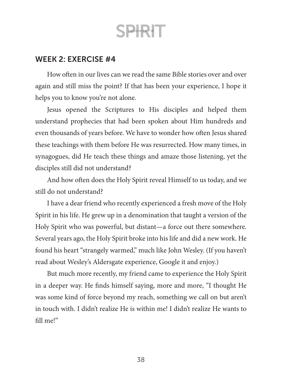### WEEK 2: EXERCISE #4

How often in our lives can we read the same Bible stories over and over again and still miss the point? If that has been your experience, I hope it helps you to know you're not alone.

Jesus opened the Scriptures to His disciples and helped them understand prophecies that had been spoken about Him hundreds and even thousands of years before. We have to wonder how often Jesus shared these teachings with them before He was resurrected. How many times, in synagogues, did He teach these things and amaze those listening, yet the disciples still did not understand?

And how often does the Holy Spirit reveal Himself to us today, and we still do not understand?

I have a dear friend who recently experienced a fresh move of the Holy Spirit in his life. He grew up in a denomination that taught a version of the Holy Spirit who was powerful, but distant—a force out there somewhere. Several years ago, the Holy Spirit broke into his life and did a new work. He found his heart "strangely warmed," much like John Wesley. (If you haven't read about Wesley's Aldersgate experience, Google it and enjoy.)

But much more recently, my friend came to experience the Holy Spirit in a deeper way. He finds himself saying, more and more, "I thought He was some kind of force beyond my reach, something we call on but aren't in touch with. I didn't realize He is within me! I didn't realize He wants to fill me!"

38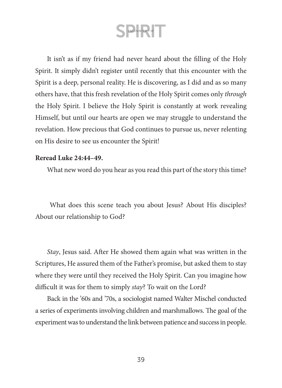It isn't as if my friend had never heard about the filling of the Holy Spirit. It simply didn't register until recently that this encounter with the Spirit is a deep, personal reality. He is discovering, as I did and as so many others have, that this fresh revelation of the Holy Spirit comes only *through* the Holy Spirit. I believe the Holy Spirit is constantly at work revealing Himself, but until our hearts are open we may struggle to understand the revelation. How precious that God continues to pursue us, never relenting on His desire to see us encounter the Spirit!

#### **Reread Luke 24:44–49.**

What new word do you hear as you read this part of the story this time?

 What does this scene teach you about Jesus? About His disciples? About our relationship to God?

*Stay*, Jesus said. After He showed them again what was written in the Scriptures, He assured them of the Father's promise, but asked them to stay where they were until they received the Holy Spirit. Can you imagine how difficult it was for them to simply *stay*? To wait on the Lord?

Back in the '60s and '70s, a sociologist named Walter Mischel conducted a series of experiments involving children and marshmallows. The goal of the experiment was to understand the link between patience and success in people.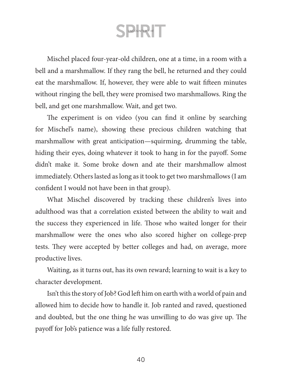Mischel placed four-year-old children, one at a time, in a room with a bell and a marshmallow. If they rang the bell, he returned and they could eat the marshmallow. If, however, they were able to wait fifteen minutes without ringing the bell, they were promised two marshmallows. Ring the bell, and get one marshmallow. Wait, and get two.

The experiment is on video (you can find it online by searching for Mischel's name), showing these precious children watching that marshmallow with great anticipation—squirming, drumming the table, hiding their eyes, doing whatever it took to hang in for the payoff. Some didn't make it. Some broke down and ate their marshmallow almost immediately. Others lasted as long as it took to get two marshmallows (I am confident I would not have been in that group).

What Mischel discovered by tracking these children's lives into adulthood was that a correlation existed between the ability to wait and the success they experienced in life. Those who waited longer for their marshmallow were the ones who also scored higher on college-prep tests. They were accepted by better colleges and had, on average, more productive lives.

Waiting, as it turns out, has its own reward; learning to wait is a key to character development.

Isn't this the story of Job? God left him on earth with a world of pain and allowed him to decide how to handle it. Job ranted and raved, questioned and doubted, but the one thing he was unwilling to do was give up. The payoff for Job's patience was a life fully restored.

 $40$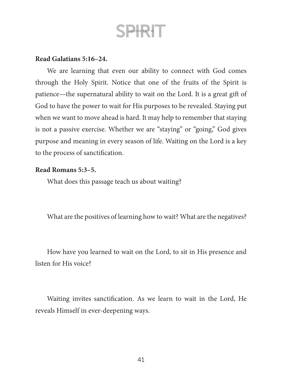### **Read Galatians 5:16–24.**

We are learning that even our ability to connect with God comes through the Holy Spirit. Notice that one of the fruits of the Spirit is patience—the supernatural ability to wait on the Lord. It is a great gift of God to have the power to wait for His purposes to be revealed. Staying put when we want to move ahead is hard. It may help to remember that staying is not a passive exercise. Whether we are "staying" or "going," God gives purpose and meaning in every season of life. Waiting on the Lord is a key to the process of sanctification.

#### **Read Romans 5:3–5.**

What does this passage teach us about waiting?

What are the positives of learning how to wait? What are the negatives?

How have you learned to wait on the Lord, to sit in His presence and listen for His voice?

Waiting invites sanctification. As we learn to wait in the Lord, He reveals Himself in ever-deepening ways.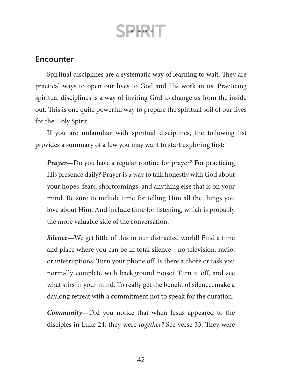### **Encounter**

Spiritual disciplines are a systematic way of learning to wait. They are practical ways to open our lives to God and His work in us. Practicing spiritual disciplines is a way of inviting God to change us from the inside out. This is one quite powerful way to prepare the spiritual soil of our lives for the Holy Spirit.

If you are unfamiliar with spiritual disciplines, the following list provides a summary of a few you may want to start exploring first:

*Prayer—*Do you have a regular routine for prayer? For practicing His presence daily? Prayer is a way to talk honestly with God about your hopes, fears, shortcomings, and anything else that is on your mind. Be sure to include time for telling Him all the things you love about Him. And include time for listening, which is probably the more valuable side of the conversation.

*Silence—*We get little of this in our distracted world! Find a time and place where you can be in total silence—no television, radio, or interruptions. Turn your phone off. Is there a chore or task you normally complete with background noise? Turn it off, and see what stirs in your mind. To really get the benefit of silence, make a daylong retreat with a commitment not to speak for the duration.

*Community—*Did you notice that when Jesus appeared to the disciples in Luke 24, they were *together?* See verse 33. They were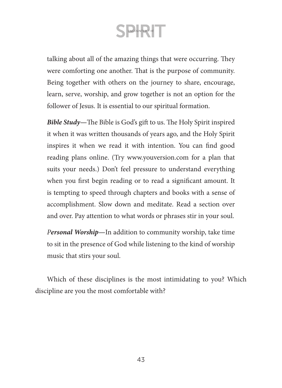talking about all of the amazing things that were occurring. They were comforting one another. That is the purpose of community. Being together with others on the journey to share, encourage, learn, serve, worship, and grow together is not an option for the follower of Jesus. It is essential to our spiritual formation.

*Bible Study—*The Bible is God's gift to us. The Holy Spirit inspired it when it was written thousands of years ago, and the Holy Spirit inspires it when we read it with intention. You can find good reading plans online. (Try [www.youversion.com](http://www.youversion.com) for a plan that suits your needs.) Don't feel pressure to understand everything when you first begin reading or to read a significant amount. It is tempting to speed through chapters and books with a sense of accomplishment. Slow down and meditate. Read a section over and over. Pay attention to what words or phrases stir in your soul.

*Personal Worship—*In addition to community worship, take time to sit in the presence of God while listening to the kind of worship music that stirs your soul.

Which of these disciplines is the most intimidating to you? Which discipline are you the most comfortable with?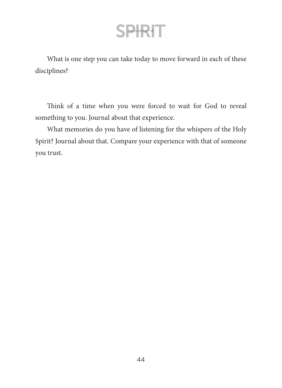What is one step you can take today to move forward in each of these disciplines?

Think of a time when you were forced to wait for God to reveal something to you. Journal about that experience.

What memories do you have of listening for the whispers of the Holy Spirit? Journal about that. Compare your experience with that of someone you trust.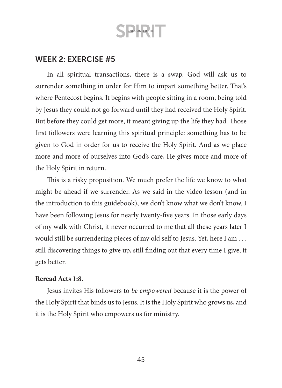### WEEK 2: EXERCISE #5

In all spiritual transactions, there is a swap. God will ask us to surrender something in order for Him to impart something better. That's where Pentecost begins. It begins with people sitting in a room, being told by Jesus they could not go forward until they had received the Holy Spirit. But before they could get more, it meant giving up the life they had. Those first followers were learning this spiritual principle: something has to be given to God in order for us to receive the Holy Spirit. And as we place more and more of ourselves into God's care, He gives more and more of the Holy Spirit in return.

This is a risky proposition. We much prefer the life we know to what might be ahead if we surrender. As we said in the video lesson (and in the introduction to this guidebook), we don't know what we don't know. I have been following Jesus for nearly twenty-five years. In those early days of my walk with Christ, it never occurred to me that all these years later I would still be surrendering pieces of my old self to Jesus. Yet, here I am . . . still discovering things to give up, still finding out that every time I give, it gets better.

#### **Reread Acts 1:8.**

Jesus invites His followers to *be empowered* because it is the power of the Holy Spirit that binds us to Jesus. It is the Holy Spirit who grows us, and it is the Holy Spirit who empowers us for ministry.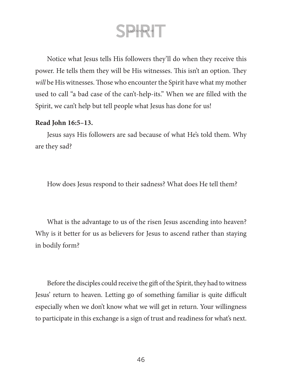S ENCOUNTER THE

Notice what Jesus tells His followers they'll do when they receive this power. He tells them they will be His witnesses. This isn't an option. They *will* be His witnesses. Those who encounter the Spirit have what my mother used to call "a bad case of the can't-help-its." When we are filled with the Spirit, we can't help but tell people what Jesus has done for us!

#### **Read John 16:5–13.**

Jesus says His followers are sad because of what He's told them. Why are they sad?

How does Jesus respond to their sadness? What does He tell them?

What is the advantage to us of the risen Jesus ascending into heaven? Why is it better for us as believers for Jesus to ascend rather than staying in bodily form?

Before the disciples could receive the gift of the Spirit, they had to witness Jesus' return to heaven. Letting go of something familiar is quite difficult especially when we don't know what we will get in return. Your willingness to participate in this exchange is a sign of trust and readiness for what's next.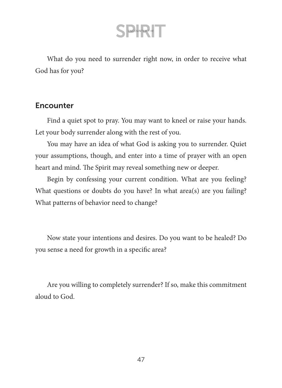What do you need to surrender right now, in order to receive what God has for you?

### **Encounter**

Find a quiet spot to pray. You may want to kneel or raise your hands. Let your body surrender along with the rest of you.

You may have an idea of what God is asking you to surrender. Quiet your assumptions, though, and enter into a time of prayer with an open heart and mind. The Spirit may reveal something new or deeper.

Begin by confessing your current condition. What are you feeling? What questions or doubts do you have? In what area(s) are you failing? What patterns of behavior need to change?

Now state your intentions and desires. Do you want to be healed? Do you sense a need for growth in a specific area?

Are you willing to completely surrender? If so, make this commitment aloud to God.